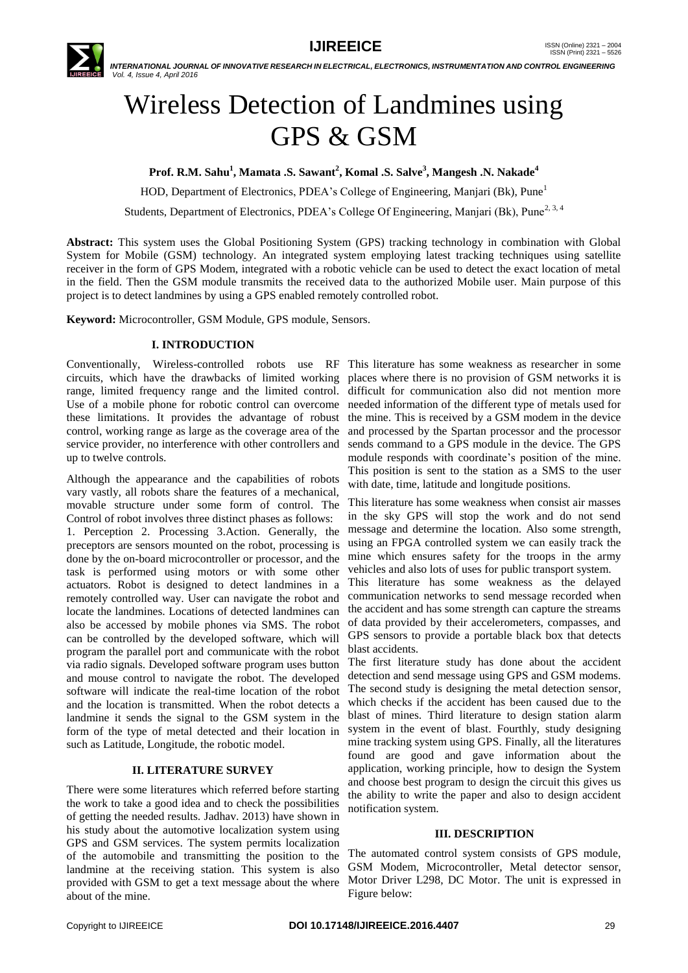

 *INTERNATIONAL JOURNAL OF INNOVATIVE RESEARCH IN ELECTRICAL, ELECTRONICS, INSTRUMENTATION AND CONTROL ENGINEERING Vol. 4, Issue 4, April 2016*

# Wireless Detection of Landmines using GPS & GSM

**Prof. R.M. Sahu<sup>1</sup> , Mamata .S. Sawant<sup>2</sup> , Komal .S. Salve<sup>3</sup> , Mangesh .N. Nakade<sup>4</sup>**

HOD, Department of Electronics, PDEA's College of Engineering, Manjari (Bk), Pune<sup>1</sup>

Students, Department of Electronics, PDEA's College Of Engineering, Manjari (Bk), Pune<sup>2, 3, 4</sup>

**Abstract:** This system uses the Global Positioning System (GPS) tracking technology in combination with Global System for Mobile (GSM) technology. An integrated system employing latest tracking techniques using satellite receiver in the form of GPS Modem, integrated with a robotic vehicle can be used to detect the exact location of metal in the field. Then the GSM module transmits the received data to the authorized Mobile user. Main purpose of this project is to detect landmines by using a GPS enabled remotely controlled robot.

**Keyword:** Microcontroller, GSM Module, GPS module, Sensors.

#### **I. INTRODUCTION**

Conventionally, Wireless-controlled robots use RF This literature has some weakness as researcher in some circuits, which have the drawbacks of limited working range, limited frequency range and the limited control. Use of a mobile phone for robotic control can overcome these limitations. It provides the advantage of robust control, working range as large as the coverage area of the service provider, no interference with other controllers and up to twelve controls.

Although the appearance and the capabilities of robots vary vastly, all robots share the features of a mechanical, movable structure under some form of control. The Control of robot involves three distinct phases as follows: 1. Perception 2. Processing 3.Action. Generally, the preceptors are sensors mounted on the robot, processing is done by the on-board microcontroller or processor, and the task is performed using motors or with some other actuators. Robot is designed to detect landmines in a remotely controlled way. User can navigate the robot and locate the landmines. Locations of detected landmines can also be accessed by mobile phones via SMS. The robot can be controlled by the developed software, which will program the parallel port and communicate with the robot via radio signals. Developed software program uses button and mouse control to navigate the robot. The developed software will indicate the real-time location of the robot and the location is transmitted. When the robot detects a landmine it sends the signal to the GSM system in the form of the type of metal detected and their location in such as Latitude, Longitude, the robotic model.

### **II. LITERATURE SURVEY**

There were some literatures which referred before starting the work to take a good idea and to check the possibilities of getting the needed results. Jadhav. 2013) have shown in his study about the automotive localization system using GPS and GSM services. The system permits localization of the automobile and transmitting the position to the landmine at the receiving station. This system is also provided with GSM to get a text message about the where about of the mine.

places where there is no provision of GSM networks it is difficult for communication also did not mention more needed information of the different type of metals used for the mine. This is received by a GSM modem in the device and processed by the Spartan processor and the processor sends command to a GPS module in the device. The GPS module responds with coordinate's position of the mine. This position is sent to the station as a SMS to the user with date, time, latitude and longitude positions.

This literature has some weakness when consist air masses in the sky GPS will stop the work and do not send message and determine the location. Also some strength, using an FPGA controlled system we can easily track the mine which ensures safety for the troops in the army vehicles and also lots of uses for public transport system.

This literature has some weakness as the delayed communication networks to send message recorded when the accident and has some strength can capture the streams of data provided by their accelerometers, compasses, and GPS sensors to provide a portable black box that detects blast accidents.

The first literature study has done about the accident detection and send message using GPS and GSM modems. The second study is designing the metal detection sensor, which checks if the accident has been caused due to the blast of mines. Third literature to design station alarm system in the event of blast. Fourthly, study designing mine tracking system using GPS. Finally, all the literatures found are good and gave information about the application, working principle, how to design the System and choose best program to design the circuit this gives us the ability to write the paper and also to design accident notification system.

#### **III. DESCRIPTION**

The automated control system consists of GPS module, GSM Modem, Microcontroller, Metal detector sensor, Motor Driver L298, DC Motor. The unit is expressed in Figure below: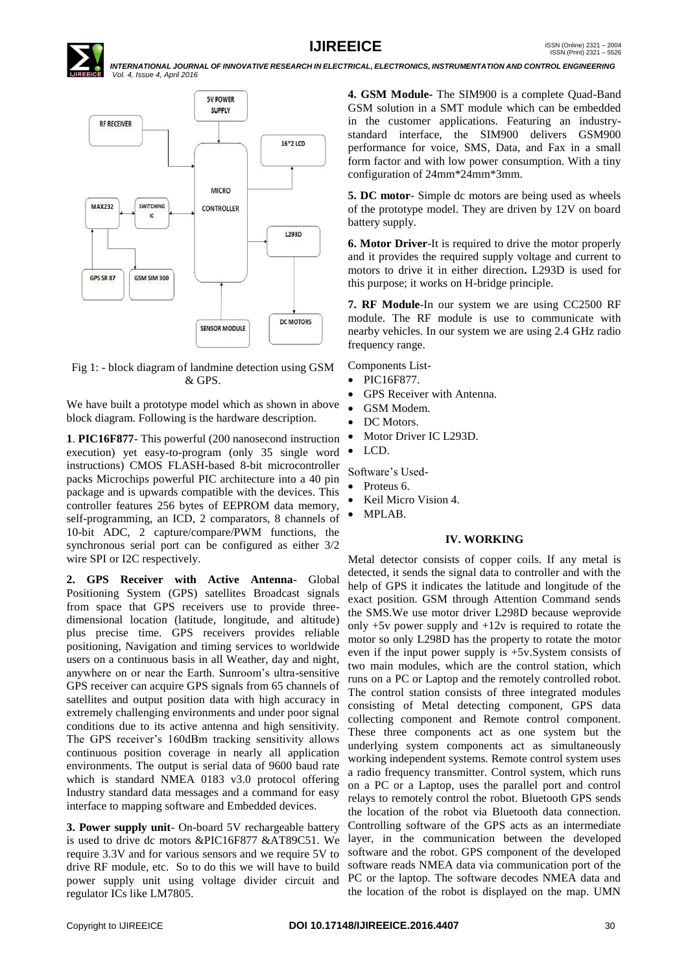

## **IJIREEICE ISSN** (Online)  $2321 - 2004$ <br>
ISSN (Print)  $2321 - 5526$

 *INTERNATIONAL JOURNAL OF INNOVATIVE RESEARCH IN ELECTRICAL, ELECTRONICS, INSTRUMENTATION AND CONTROL ENGINEERING Vol. 4, Issue 4, April 2016*



Fig 1: - block diagram of landmine detection using GSM & GPS.

We have built a prototype model which as shown in above block diagram. Following is the hardware description.

**1**. **PIC16F877**- This powerful (200 nanosecond instruction execution) yet easy-to-program (only 35 single word instructions) CMOS FLASH-based 8-bit microcontroller packs Microchips powerful PIC architecture into a 40 pin package and is upwards compatible with the devices. This controller features 256 bytes of EEPROM data memory, self-programming, an ICD, 2 comparators, 8 channels of 10-bit ADC, 2 capture/compare/PWM functions, the synchronous serial port can be configured as either 3/2 wire SPI or I2C respectively.

**2. GPS Receiver with Active Antenna-** Global Positioning System (GPS) satellites Broadcast signals from space that GPS receivers use to provide threedimensional location (latitude, longitude, and altitude) plus precise time. GPS receivers provides reliable positioning, Navigation and timing services to worldwide users on a continuous basis in all Weather, day and night, anywhere on or near the Earth. Sunroom's ultra-sensitive GPS receiver can acquire GPS signals from 65 channels of satellites and output position data with high accuracy in extremely challenging environments and under poor signal conditions due to its active antenna and high sensitivity. The GPS receiver's 160dBm tracking sensitivity allows continuous position coverage in nearly all application environments. The output is serial data of 9600 baud rate which is standard NMEA 0183 v3.0 protocol offering Industry standard data messages and a command for easy interface to mapping software and Embedded devices.

**3. Power supply unit**- On-board 5V rechargeable battery is used to drive dc motors &PIC16F877 &AT89C51. We require 3.3V and for various sensors and we require 5V to drive RF module, etc. So to do this we will have to build power supply unit using voltage divider circuit and regulator ICs like LM7805.

**4. GSM Module-** The SIM900 is a complete Quad-Band GSM solution in a SMT module which can be embedded in the customer applications. Featuring an industrystandard interface, the SIM900 delivers GSM900 performance for voice, SMS, Data, and Fax in a small form factor and with low power consumption. With a tiny configuration of 24mm\*24mm\*3mm.

**5. DC motor**- Simple dc motors are being used as wheels of the prototype model. They are driven by 12V on board battery supply.

**6. Motor Driver**-It is required to drive the motor properly and it provides the required supply voltage and current to motors to drive it in either direction**.** L293D is used for this purpose; it works on H-bridge principle.

**7. RF Module**-In our system we are using CC2500 RF module. The RF module is use to communicate with nearby vehicles. In our system we are using 2.4 GHz radio frequency range.

Components List-

- PIC16F877.
- GPS Receiver with Antenna.
- GSM Modem.
- DC Motors.
- Motor Driver IC L293D.
- LCD.

Software's Used-

- Proteus 6.
- Keil Micro Vision 4.
- MPLAB.

#### **IV. WORKING**

Metal detector consists of copper coils. If any metal is detected, it sends the signal data to controller and with the help of GPS it indicates the latitude and longitude of the exact position. GSM through Attention Command sends the SMS.We use motor driver L298D because weprovide only +5v power supply and +12v is required to rotate the motor so only L298D has the property to rotate the motor even if the input power supply is +5v.System consists of two main modules, which are the control station, which runs on a PC or Laptop and the remotely controlled robot. The control station consists of three integrated modules consisting of Metal detecting component, GPS data collecting component and Remote control component. These three components act as one system but the underlying system components act as simultaneously working independent systems. Remote control system uses a radio frequency transmitter. Control system, which runs on a PC or a Laptop, uses the parallel port and control relays to remotely control the robot. Bluetooth GPS sends the location of the robot via Bluetooth data connection. Controlling software of the GPS acts as an intermediate layer, in the communication between the developed software and the robot. GPS component of the developed software reads NMEA data via communication port of the PC or the laptop. The software decodes NMEA data and the location of the robot is displayed on the map. UMN